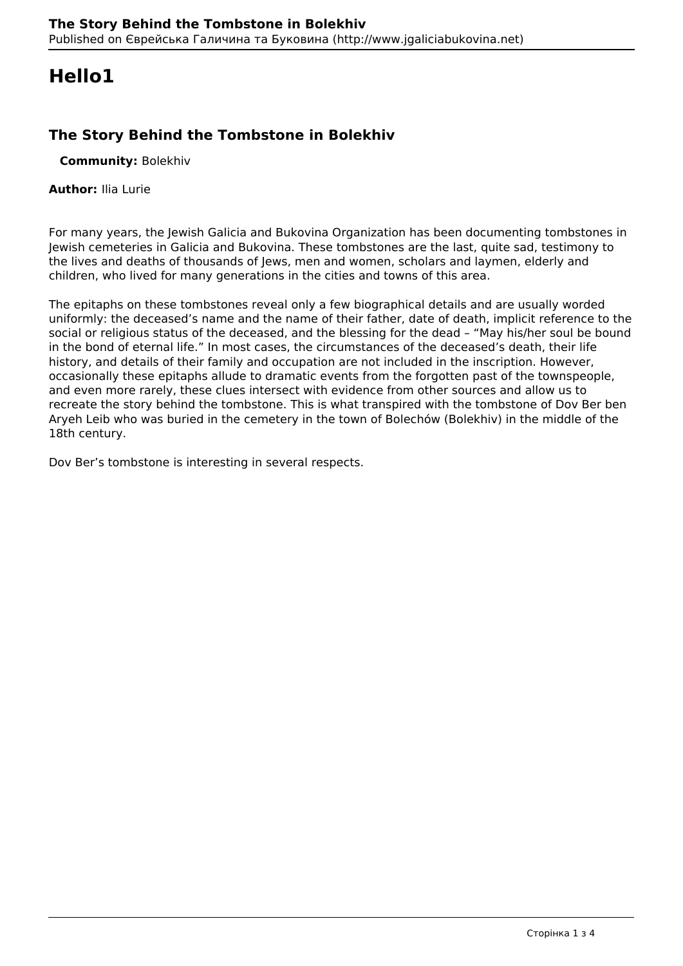## **Hello1**

## **The Story Behind the Tombstone in Bolekhiv**

**Community:** Bolekhiv

## **Author:** Ilia Lurie

For many years, the Jewish Galicia and Bukovina Organization has been documenting tombstones in Jewish cemeteries in Galicia and Bukovina. These tombstones are the last, quite sad, testimony to the lives and deaths of thousands of Jews, men and women, scholars and laymen, elderly and children, who lived for many generations in the cities and towns of this area.

The epitaphs on these tombstones reveal only a few biographical details and are usually worded uniformly: the deceased's name and the name of their father, date of death, implicit reference to the social or religious status of the deceased, and the blessing for the dead – "May his/her soul be bound in the bond of eternal life." In most cases, the circumstances of the deceased's death, their life history, and details of their family and occupation are not included in the inscription. However, occasionally these epitaphs allude to dramatic events from the forgotten past of the townspeople, and even more rarely, these clues intersect with evidence from other sources and allow us to recreate the story behind the tombstone. This is what transpired with the tombstone of Dov Ber ben Aryeh Leib who was buried in the cemetery in the town of Bolechów (Bolekhiv) in the middle of the 18th century.

Dov Ber's tombstone is interesting in several respects.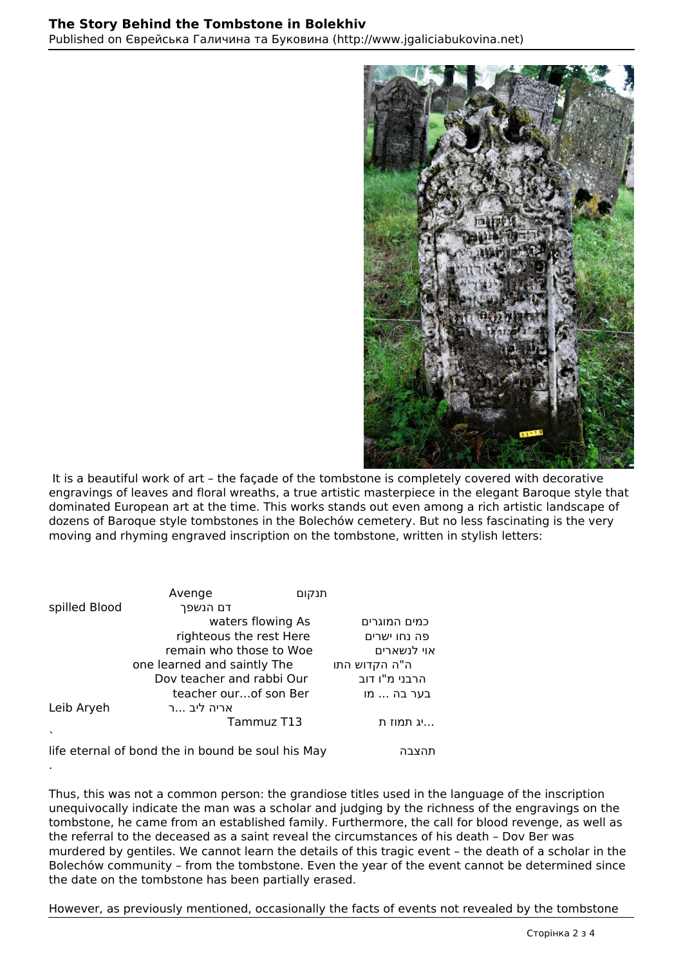

 It is a beautiful work of art – the façade of the tombstone is completely covered with decorative engravings of leaves and floral wreaths, a true artistic masterpiece in the elegant Baroque style that dominated European art at the time. This works stands out even among a rich artistic landscape of dozens of Baroque style tombstones in the Bolechów cemetery. But no less fascinating is the very moving and rhyming engraved inscription on the tombstone, written in stylish letters:

|               | Avenge                                            | תנקום         |
|---------------|---------------------------------------------------|---------------|
| spilled Blood | דם הנשפך                                          |               |
|               | waters flowing As                                 | כמים המוגרים  |
|               | righteous the rest Here                           | פה נחו ישרים  |
|               | remain who those to Woe                           | אוי לנשארים   |
|               | one learned and saintly The                       | ה"ה הקדוש התו |
|               | Dov teacher and rabbi Our                         | הרבני מ"ו דוב |
|               | teacher ourof son Ber                             | בער בה  מו    |
| Leib Aryeh    | אריה ליב …ר                                       |               |
|               | Tammuz T13                                        | …יג תמוז ת    |
| $\lambda$     |                                                   |               |
|               | life eternal of bond the in bound be soul his May | תהצבה         |

the date on the tombstone has been partially erased.

. Thus, this was not a common person: the grandiose titles used in the language of the inscription unequivocally indicate the man was a scholar and judging by the richness of the engravings on the tombstone, he came from an established family. Furthermore, the call for blood revenge, as well as the referral to the deceased as a saint reveal the circumstances of his death – Dov Ber was murdered by gentiles. We cannot learn the details of this tragic event – the death of a scholar in the

However, as previously mentioned, occasionally the facts of events not revealed by the tombstone

Bolechów community – from the tombstone. Even the year of the event cannot be determined since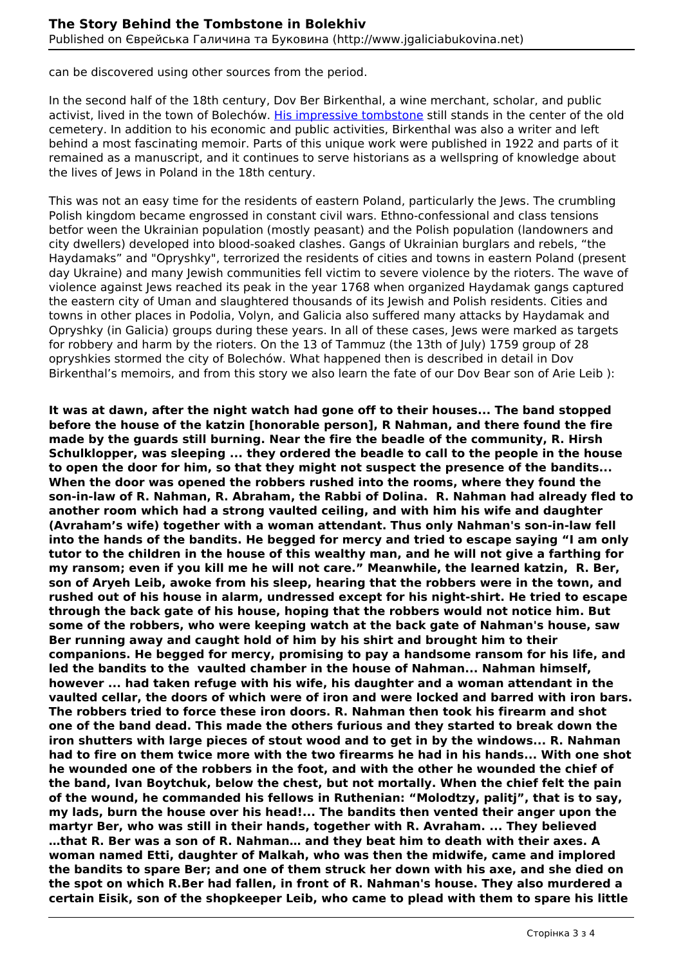can be discovered using other sources from the period.

In the second half of the 18th century, Dov Ber Birkenthal, a wine merchant, scholar, and public activist, lived in the town of Bolechów. [His impressive tombstone](http://jgaliciabukovina.net/156666/tombstone/tombstone-dov-ber-son-yehuda-birkentahl) still stands in the center of the old cemetery. In addition to his economic and public activities, Birkenthal was also a writer and left behind a most fascinating memoir. Parts of this unique work were published in 1922 and parts of it remained as a manuscript, and it continues to serve historians as a wellspring of knowledge about the lives of Jews in Poland in the 18th century.

This was not an easy time for the residents of eastern Poland, particularly the Jews. The crumbling Polish kingdom became engrossed in constant civil wars. Ethno-confessional and class tensions betfor ween the Ukrainian population (mostly peasant) and the Polish population (landowners and city dwellers) developed into blood-soaked clashes. Gangs of Ukrainian burglars and rebels, "the Haydamaks" and "Opryshky", terrorized the residents of cities and towns in eastern Poland (present day Ukraine) and many Jewish communities fell victim to severe violence by the rioters. The wave of violence against Jews reached its peak in the year 1768 when organized Haydamak gangs captured the eastern city of Uman and slaughtered thousands of its Jewish and Polish residents. Cities and towns in other places in Podolia, Volyn, and Galicia also suffered many attacks by Haydamak and Opryshky (in Galicia) groups during these years. In all of these cases, Jews were marked as targets for robbery and harm by the rioters. On the 13 of Tammuz (the 13th of July) 1759 group of 28 opryshkies stormed the city of Bolechów. What happened then is described in detail in Dov Birkenthal's memoirs, and from this story we also learn the fate of our Dov Bear son of Arie Leib ):

**It was at dawn, after the night watch had gone off to their houses... The band stopped before the house of the katzin [honorable person], R Nahman, and there found the fire made by the guards still burning. Near the fire the beadle of the community, R. Hirsh Schulklopper, was sleeping ... they ordered the beadle to call to the people in the house to open the door for him, so that they might not suspect the presence of the bandits... When the door was opened the robbers rushed into the rooms, where they found the son-in-law of R. Nahman, R. Abraham, the Rabbi of Dolina. R. Nahman had already fled to another room which had a strong vaulted ceiling, and with him his wife and daughter (Avraham's wife) together with a woman attendant. Thus only Nahman's son-in-law fell into the hands of the bandits. He begged for mercy and tried to escape saying "I am only tutor to the children in the house of this wealthy man, and he will not give a farthing for my ransom; even if you kill me he will not care." Meanwhile, the learned katzin, R. Ber, son of Aryeh Leib, awoke from his sleep, hearing that the robbers were in the town, and rushed out of his house in alarm, undressed except for his night-shirt. He tried to escape through the back gate of his house, hoping that the robbers would not notice him. But some of the robbers, who were keeping watch at the back gate of Nahman's house, saw Ber running away and caught hold of him by his shirt and brought him to their companions. He begged for mercy, promising to pay a handsome ransom for his life, and led the bandits to the vaulted chamber in the house of Nahman... Nahman himself, however ... had taken refuge with his wife, his daughter and a woman attendant in the vaulted cellar, the doors of which were of iron and were locked and barred with iron bars. The robbers tried to force these iron doors. R. Nahman then took his firearm and shot one of the band dead. This made the others furious and they started to break down the iron shutters with large pieces of stout wood and to get in by the windows... R. Nahman had to fire on them twice more with the two firearms he had in his hands... With one shot he wounded one of the robbers in the foot, and with the other he wounded the chief of the band, Ivan Boytchuk, below the chest, but not mortally. When the chief felt the pain of the wound, he commanded his fellows in Ruthenian: "Molodtzy, palitj", that is to say, my lads, burn the house over his head!... The bandits then vented their anger upon the martyr Ber, who was still in their hands, together with R. Avraham. ... They believed …that R. Ber was a son of R. Nahman… and they beat him to death with their axes. A woman named Etti, daughter of Malkah, who was then the midwife, came and implored the bandits to spare Ber; and one of them struck her down with his axe, and she died on the spot on which R.Ber had fallen, in front of R. Nahman's house. They also murdered a certain Eisik, son of the shopkeeper Leib, who came to plead with them to spare his little**